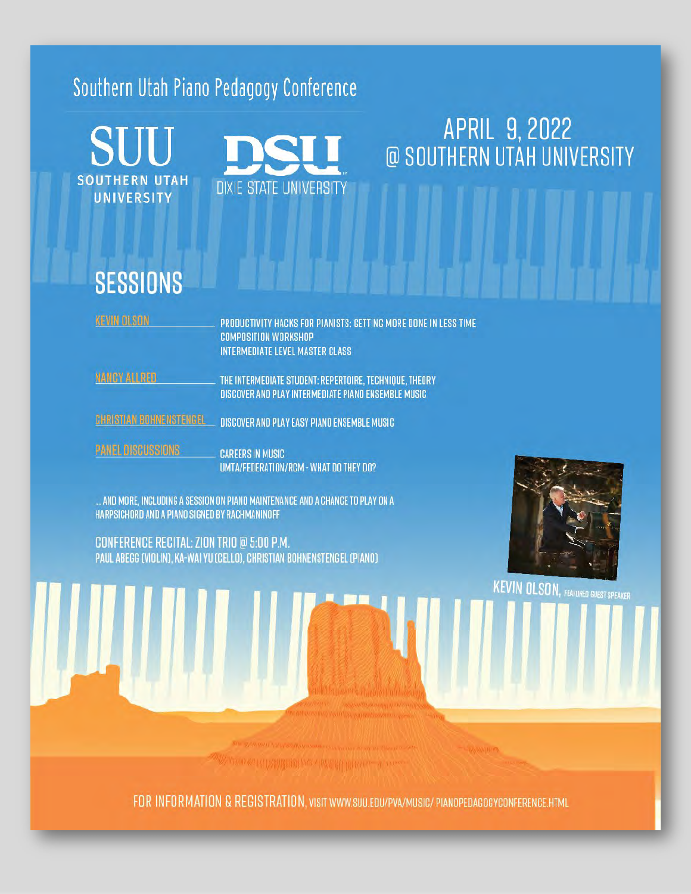### Southern Utah Piano Pedagogy Conference

APRIL 9, 2022<br>
@ SOUTHERN UTAH UNIVERSITY **SOUTHERN UTAH DIXIE STATE UNIVERSITY UNIVERSITY SESSIONS KEVIN OLSON** PRODUCTIVITY HACKS FOR PIANISTS: GETTING MORE DONE IN LESS TIME **COMPOSITION WORKSHOP INTERMEDIATE LEVEL MASTER CLASS** NANCY ALLRED THE INTERMEDIATE STUDENT: REPERTOIRE, TECHNIQUE, THEORY DISCOVER AND PLAY INTERMEDIATE PIANO ENSEMBLE MUSIC CHRISTIAN BOHNENSTENGEL DISCOVER AND PLAY EASY PIANO ENSEMBLE MUSIC PANEL DISCUSSIONS **CAREERS IN MUSIC** UMTA/FEDERATION/RCM - WHAT DO THEY DO?

... AND MORE, INCLUDING A SESSION ON PIANO MAINTENANCE AND A CHANCE TO PLAY ON A HARPSICHORD AND A PIANO SIGNED BY RACHMANINOFF

**CONFERENCE RECITAL: ZION TRIO @ 5:00 P.M.** PAUL ABEGG (VIOLIN), KA-WAI YU (CELLO), CHRISTIAN BOHNENSTENGEL (PIANO)



FOR INFORMATION & REGISTRATION, VISIT WWW.SUU.EDU/PVA/MUSIC/ PIANOPEDAGOGYCONFERENCE.HTML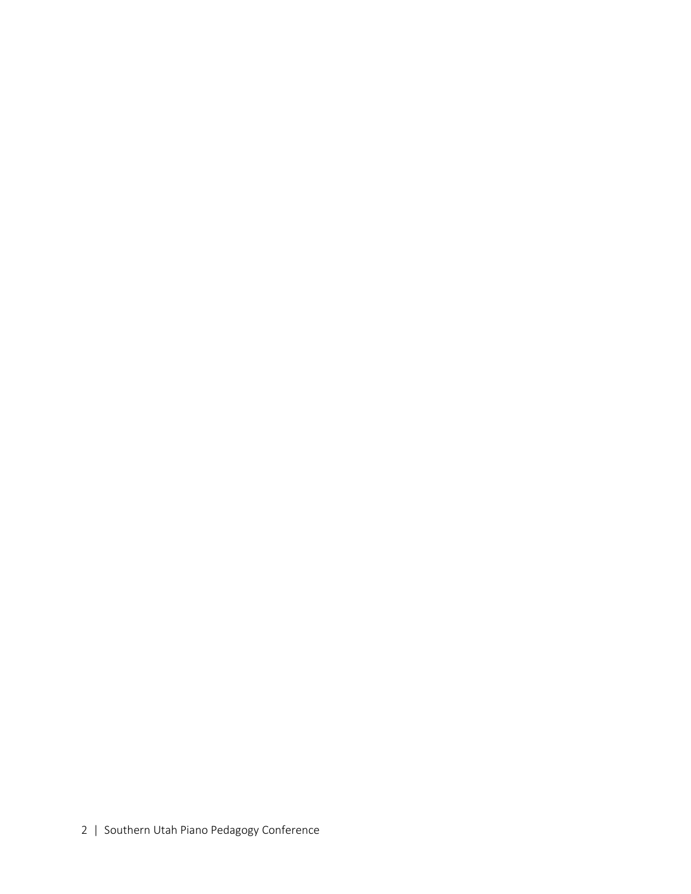2 | Southern Utah Piano Pedagogy Conference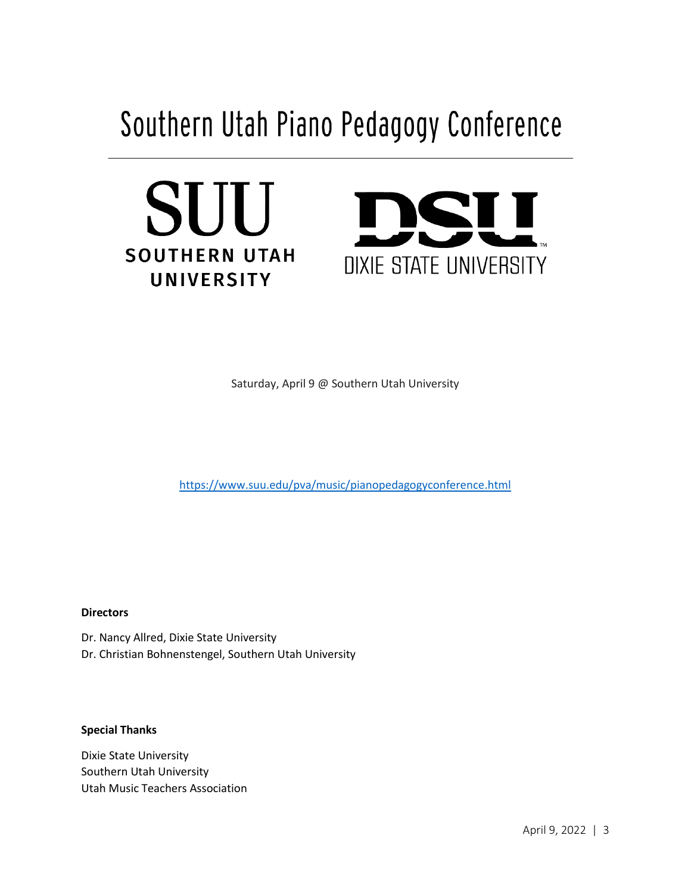# Southern Utah Piano Pedagogy Conference



Saturday, April 9 @ Southern Utah University

<https://www.suu.edu/pva/music/pianopedagogyconference.html>

**Directors**

Dr. Nancy Allred, Dixie State University Dr. Christian Bohnenstengel, Southern Utah University

**Special Thanks**

Dixie State University Southern Utah University Utah Music Teachers Association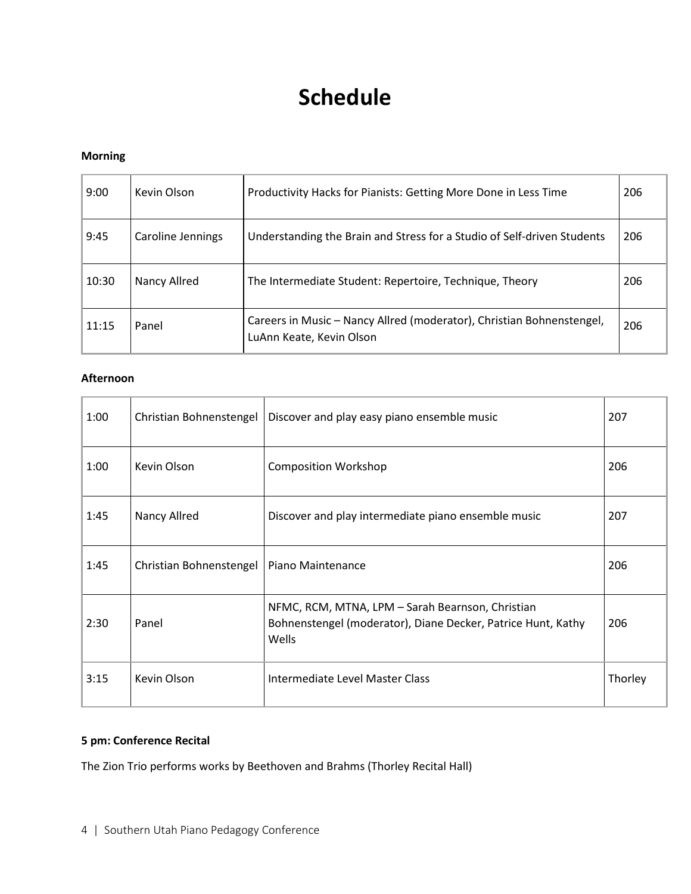### **Schedule**

#### **Morning**

| 9:00  | Kevin Olson       | Productivity Hacks for Pianists: Getting More Done in Less Time                                   | 206 |
|-------|-------------------|---------------------------------------------------------------------------------------------------|-----|
| 9:45  | Caroline Jennings | Understanding the Brain and Stress for a Studio of Self-driven Students                           | 206 |
| 10:30 | Nancy Allred      | The Intermediate Student: Repertoire, Technique, Theory                                           | 206 |
| 11:15 | Panel             | Careers in Music - Nancy Allred (moderator), Christian Bohnenstengel,<br>LuAnn Keate, Kevin Olson | 206 |

#### **Afternoon**

| 1:00 | Christian Bohnenstengel | Discover and play easy piano ensemble music                                                                               | 207     |
|------|-------------------------|---------------------------------------------------------------------------------------------------------------------------|---------|
| 1:00 | Kevin Olson             | <b>Composition Workshop</b>                                                                                               | 206     |
| 1:45 | Nancy Allred            | Discover and play intermediate piano ensemble music                                                                       | 207     |
| 1:45 | Christian Bohnenstengel | Piano Maintenance                                                                                                         | 206     |
| 2:30 | Panel                   | NFMC, RCM, MTNA, LPM - Sarah Bearnson, Christian<br>Bohnenstengel (moderator), Diane Decker, Patrice Hunt, Kathy<br>Wells | 206     |
| 3:15 | Kevin Olson             | Intermediate Level Master Class                                                                                           | Thorley |

#### **5 pm: Conference Recital**

The Zion Trio performs works by Beethoven and Brahms (Thorley Recital Hall)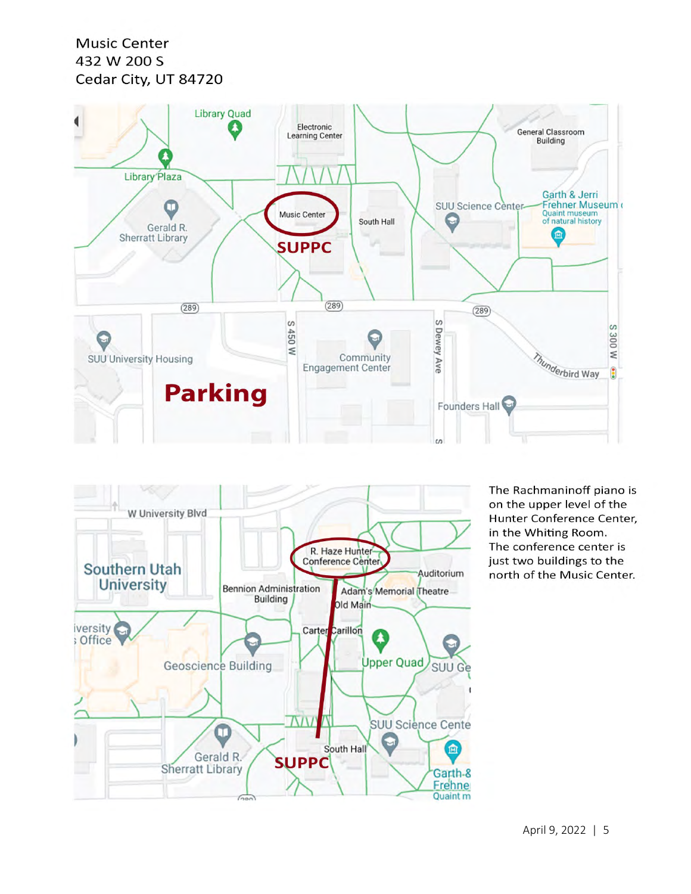**Music Center** 432 W 200 S Cedar City, UT 84720





The Rachmaninoff piano is on the upper level of the Hunter Conference Center, in the Whiting Room. The conference center is just two buildings to the north of the Music Center.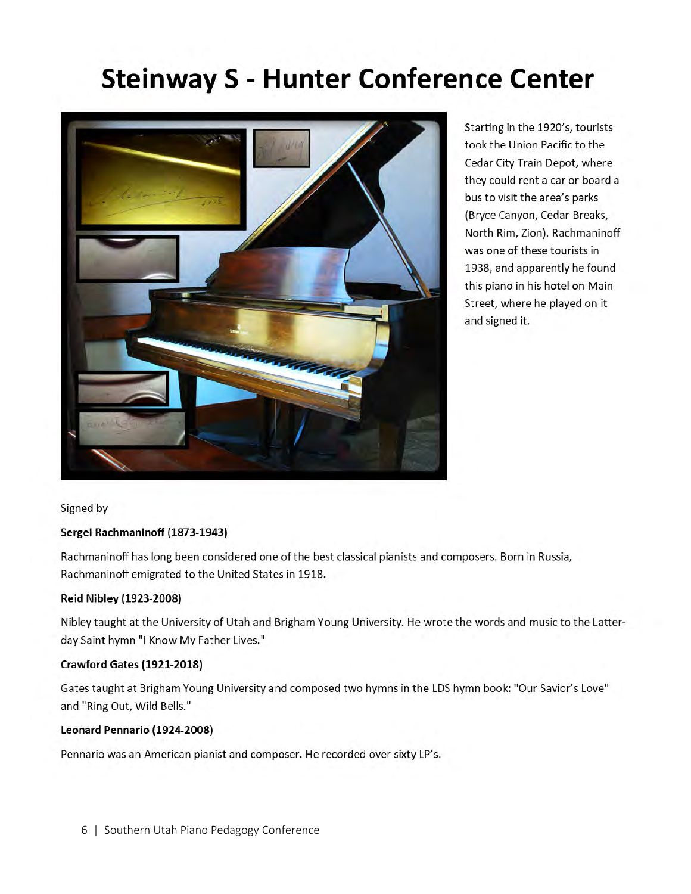## **Steinway S - Hunter Conference Center**



Starting in the 1920's, tourists took the Union Pacific to the Cedar City Train Depot, where they could rent a car or board a bus to visit the area's parks (Bryce Canyon, Cedar Breaks, North Rim, Zion). Rachmaninoff was one of these tourists in 1938, and apparently he found this piano in his hotel on Main Street, where he played on it and signed it.

Signed by

#### Sergei Rachmaninoff (1873-1943)

Rachmaninoff has long been considered one of the best classical pianists and composers. Born in Russia, Rachmaninoff emigrated to the United States in 1918.

#### Reid Nibley (1923-2008)

Nibley taught at the University of Utah and Brigham Young University. He wrote the words and music to the Latterday Saint hymn "I Know My Father Lives."

#### **Crawford Gates (1921-2018)**

Gates taught at Brigham Young University and composed two hymns in the LDS hymn book: "Our Savior's Love" and "Ring Out, Wild Bells."

#### Leonard Pennario (1924-2008)

Pennario was an American pianist and composer. He recorded over sixty LP's.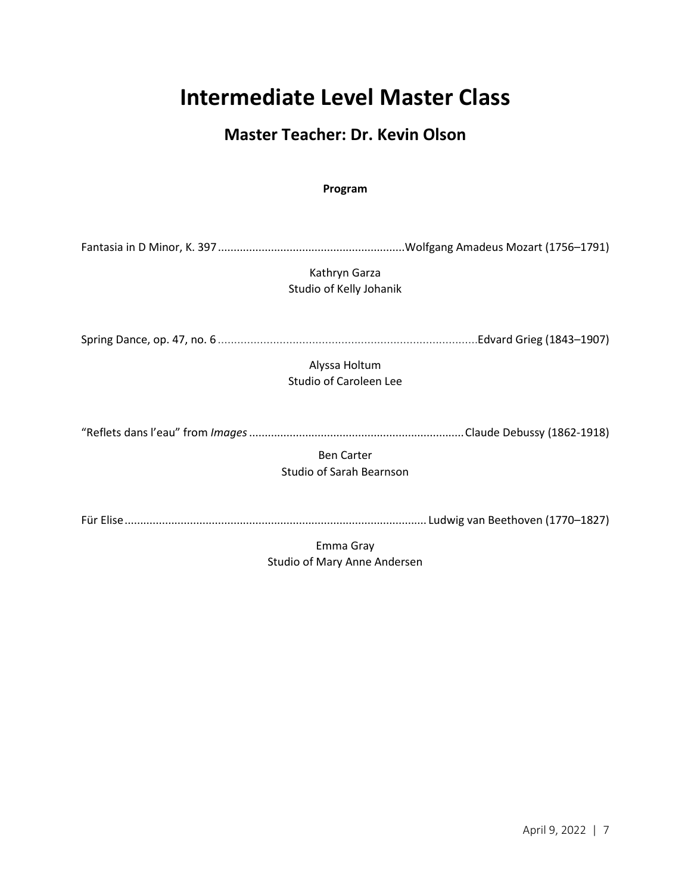### **Intermediate Level Master Class**

### **Master Teacher: Dr. Kevin Olson**

#### **Program**

| Kathryn Garza<br>Studio of Kelly Johanik |  |
|------------------------------------------|--|
|                                          |  |
| Alyssa Holtum                            |  |
| Studio of Caroleen Lee                   |  |
|                                          |  |
| <b>Ben Carter</b>                        |  |
| Studio of Sarah Bearnson                 |  |
|                                          |  |
| Emma Gray                                |  |
| Studio of Mary Anne Andersen             |  |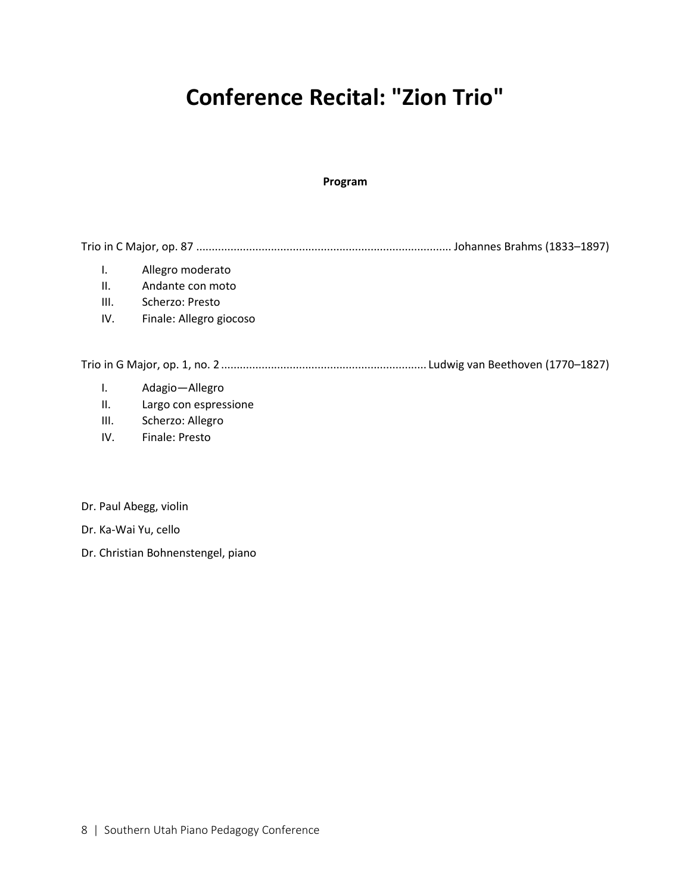### **Conference Recital: "Zion Trio"**

#### **Program**

Trio in C Major, op. 87 .................................................................................. Johannes Brahms (1833–1897)

- I. Allegro moderato
- II. Andante con moto
- III. Scherzo: Presto
- IV. Finale: Allegro giocoso

Trio in G Major, op. 1, no. 2.................................................................. Ludwig van Beethoven (1770–1827)

- I. Adagio—Allegro
- II. Largo con espressione
- III. Scherzo: Allegro
- IV. Finale: Presto

Dr. Paul Abegg, violin

Dr. Ka-Wai Yu, cello

Dr. Christian Bohnenstengel, piano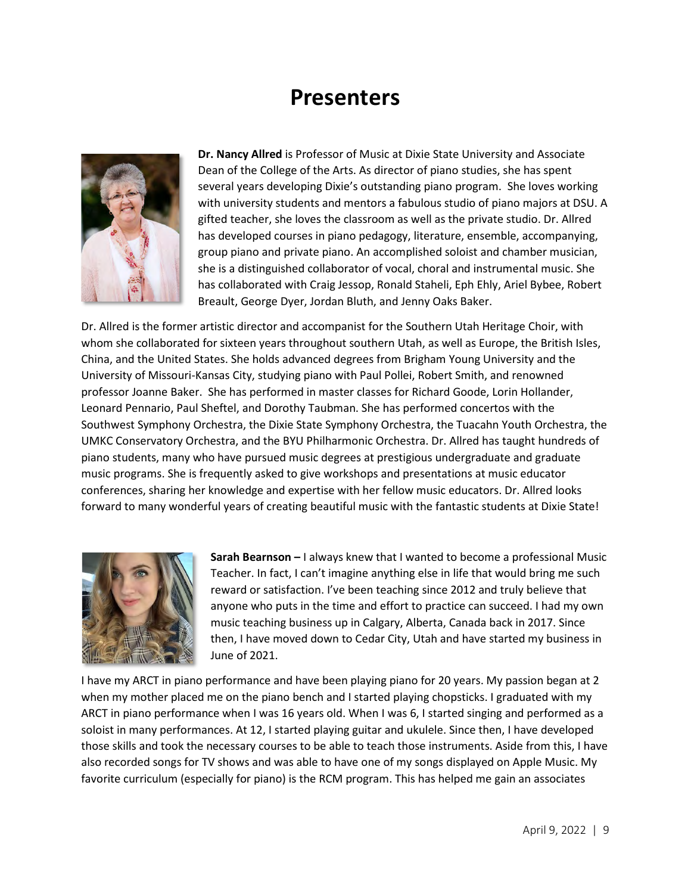### **Presenters**



**Dr. Nancy Allred** is Professor of Music at Dixie State University and Associate Dean of the College of the Arts. As director of piano studies, she has spent several years developing Dixie's outstanding piano program. She loves working with university students and mentors a fabulous studio of piano majors at DSU. A gifted teacher, she loves the classroom as well as the private studio. Dr. Allred has developed courses in piano pedagogy, literature, ensemble, accompanying, group piano and private piano. An accomplished soloist and chamber musician, she is a distinguished collaborator of vocal, choral and instrumental music. She has collaborated with Craig Jessop, Ronald Staheli, Eph Ehly, Ariel Bybee, Robert Breault, George Dyer, Jordan Bluth, and Jenny Oaks Baker.

Dr. Allred is the former artistic director and accompanist for the Southern Utah Heritage Choir, with whom she collaborated for sixteen years throughout southern Utah, as well as Europe, the British Isles, China, and the United States. She holds advanced degrees from Brigham Young University and the University of Missouri-Kansas City, studying piano with Paul Pollei, Robert Smith, and renowned professor Joanne Baker. She has performed in master classes for Richard Goode, Lorin Hollander, Leonard Pennario, Paul Sheftel, and Dorothy Taubman. She has performed concertos with the Southwest Symphony Orchestra, the Dixie State Symphony Orchestra, the Tuacahn Youth Orchestra, the UMKC Conservatory Orchestra, and the BYU Philharmonic Orchestra. Dr. Allred has taught hundreds of piano students, many who have pursued music degrees at prestigious undergraduate and graduate music programs. She is frequently asked to give workshops and presentations at music educator conferences, sharing her knowledge and expertise with her fellow music educators. Dr. Allred looks forward to many wonderful years of creating beautiful music with the fantastic students at Dixie State!



**Sarah Bearnson –** I always knew that I wanted to become a professional Music Teacher. In fact, I can't imagine anything else in life that would bring me such reward or satisfaction. I've been teaching since 2012 and truly believe that anyone who puts in the time and effort to practice can succeed. I had my own music teaching business up in Calgary, Alberta, Canada back in 2017. Since then, I have moved down to Cedar City, Utah and have started my business in June of 2021.

I have my ARCT in piano performance and have been playing piano for 20 years. My passion began at 2 when my mother placed me on the piano bench and I started playing chopsticks. I graduated with my ARCT in piano performance when I was 16 years old. When I was 6, I started singing and performed as a soloist in many performances. At 12, I started playing guitar and ukulele. Since then, I have developed those skills and took the necessary courses to be able to teach those instruments. Aside from this, I have also recorded songs for TV shows and was able to have one of my songs displayed on Apple Music. My favorite curriculum (especially for piano) is the RCM program. This has helped me gain an associates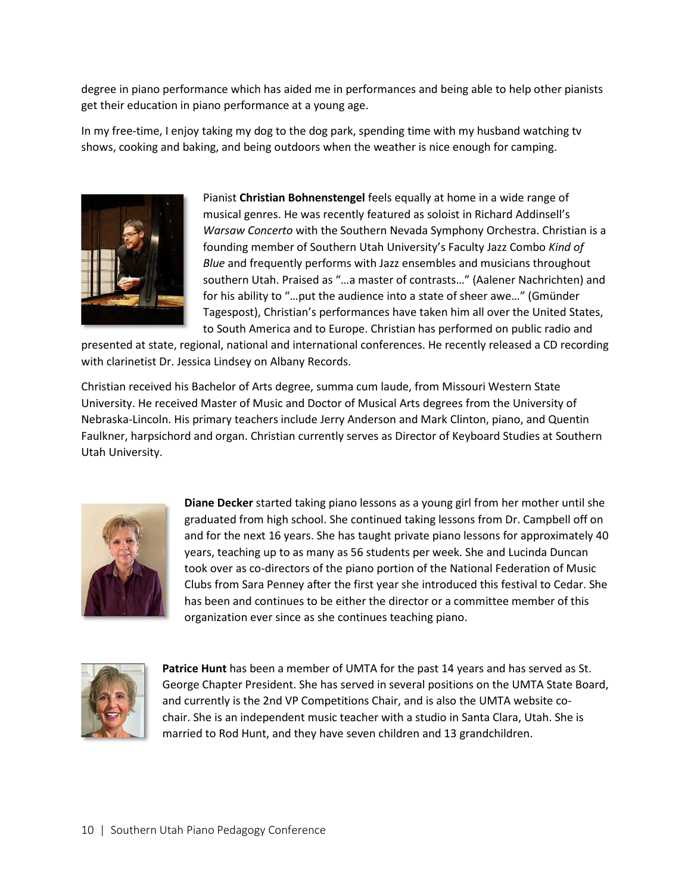degree in piano performance which has aided me in performances and being able to help other pianists get their education in piano performance at a young age.

In my free-time, I enjoy taking my dog to the dog park, spending time with my husband watching tv shows, cooking and baking, and being outdoors when the weather is nice enough for camping.



Pianist **Christian Bohnenstengel** feels equally at home in a wide range of musical genres. He was recently featured as soloist in Richard Addinsell's *Warsaw Concerto* with the Southern Nevada Symphony Orchestra. Christian is a founding member of Southern Utah University's Faculty Jazz Combo *Kind of Blue* and frequently performs with Jazz ensembles and musicians throughout southern Utah. Praised as "…a master of contrasts…" (Aalener Nachrichten) and for his ability to "…put the audience into a state of sheer awe…" (Gmünder Tagespost), Christian's performances have taken him all over the United States, to South America and to Europe. Christian has performed on public radio and

presented at state, regional, national and international conferences. He recently released a CD recording with clarinetist Dr. Jessica Lindsey on Albany Records.

Christian received his Bachelor of Arts degree, summa cum laude, from Missouri Western State University. He received Master of Music and Doctor of Musical Arts degrees from the University of Nebraska-Lincoln. His primary teachers include Jerry Anderson and Mark Clinton, piano, and Quentin Faulkner, harpsichord and organ. Christian currently serves as Director of Keyboard Studies at Southern Utah University.



**Diane Decker** started taking piano lessons as a young girl from her mother until she graduated from high school. She continued taking lessons from Dr. Campbell off on and for the next 16 years. She has taught private piano lessons for approximately 40 years, teaching up to as many as 56 students per week. She and Lucinda Duncan took over as co-directors of the piano portion of the National Federation of Music Clubs from Sara Penney after the first year she introduced this festival to Cedar. She has been and continues to be either the director or a committee member of this organization ever since as she continues teaching piano.



**Patrice Hunt** has been a member of UMTA for the past 14 years and has served as St. George Chapter President. She has served in several positions on the UMTA State Board, and currently is the 2nd VP Competitions Chair, and is also the UMTA website cochair. She is an independent music teacher with a studio in Santa Clara, Utah. She is married to Rod Hunt, and they have seven children and 13 grandchildren.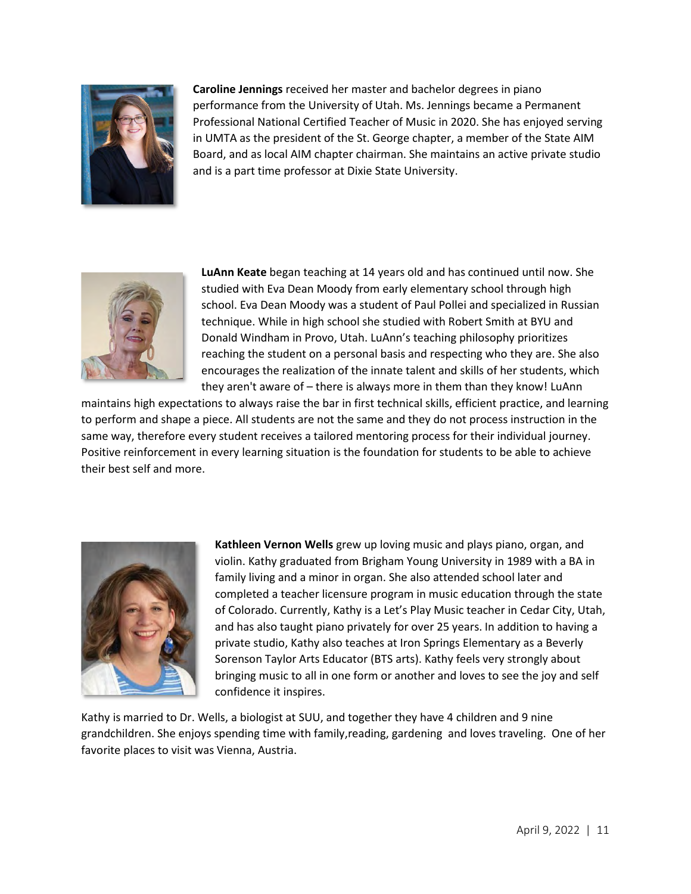

**Caroline Jennings** received her master and bachelor degrees in piano performance from the University of Utah. Ms. Jennings became a Permanent Professional National Certified Teacher of Music in 2020. She has enjoyed serving in UMTA as the president of the St. George chapter, a member of the State AIM Board, and as local AIM chapter chairman. She maintains an active private studio and is a part time professor at Dixie State University.



**LuAnn Keate** began teaching at 14 years old and has continued until now. She studied with Eva Dean Moody from early elementary school through high school. Eva Dean Moody was a student of Paul Pollei and specialized in Russian technique. While in high school she studied with Robert Smith at BYU and Donald Windham in Provo, Utah. LuAnn's teaching philosophy prioritizes reaching the student on a personal basis and respecting who they are. She also encourages the realization of the innate talent and skills of her students, which they aren't aware of – there is always more in them than they know! LuAnn

maintains high expectations to always raise the bar in first technical skills, efficient practice, and learning to perform and shape a piece. All students are not the same and they do not process instruction in the same way, therefore every student receives a tailored mentoring process for their individual journey. Positive reinforcement in every learning situation is the foundation for students to be able to achieve their best self and more.



**Kathleen Vernon Wells** grew up loving music and plays piano, organ, and violin. Kathy graduated from Brigham Young University in 1989 with a BA in family living and a minor in organ. She also attended school later and completed a teacher licensure program in music education through the state of Colorado. Currently, Kathy is a Let's Play Music teacher in Cedar City, Utah, and has also taught piano privately for over 25 years. In addition to having a private studio, Kathy also teaches at Iron Springs Elementary as a Beverly Sorenson Taylor Arts Educator (BTS arts). Kathy feels very strongly about bringing music to all in one form or another and loves to see the joy and self confidence it inspires.

Kathy is married to Dr. Wells, a biologist at SUU, and together they have 4 children and 9 nine grandchildren. She enjoys spending time with family,reading, gardening and loves traveling. One of her favorite places to visit was Vienna, Austria.